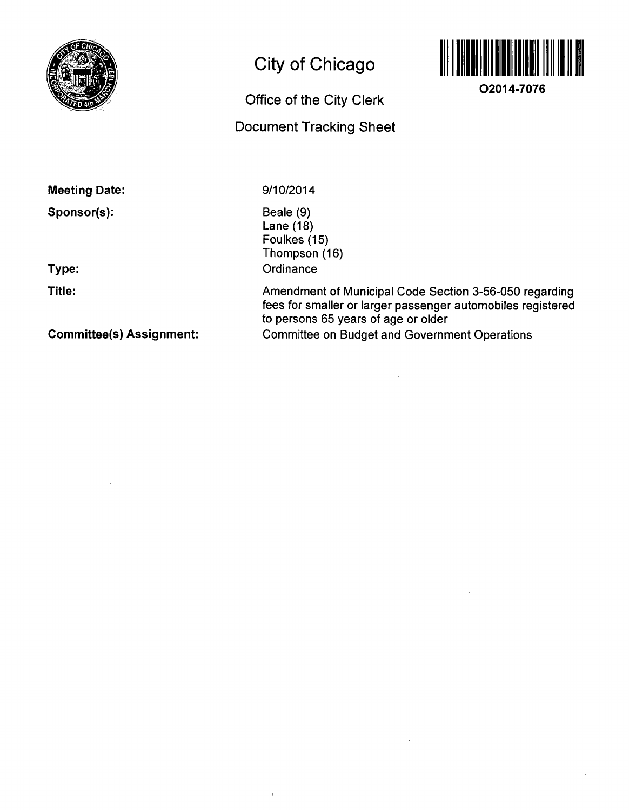

## **City of Chicago**

# **Office of the City Clerk**

## **Document Tracking Sheet**



**O2014-7076** 

**Meeting Date:** 

**Sponsor(s):** 

**Type:** 

**Title:** 

**Committee(s) Assignment:** 

9/10/2014

 $\bar{t}$ 

Beale (9) Lane (18) Foulkes (15) Thompson (16) **Ordinance** 

Amendment of Municipal Code Section 3-56-050 regarding fees for smaller or larger passenger automobiles registered to persons 65 years of age or older Committee on Budget and Government Operations